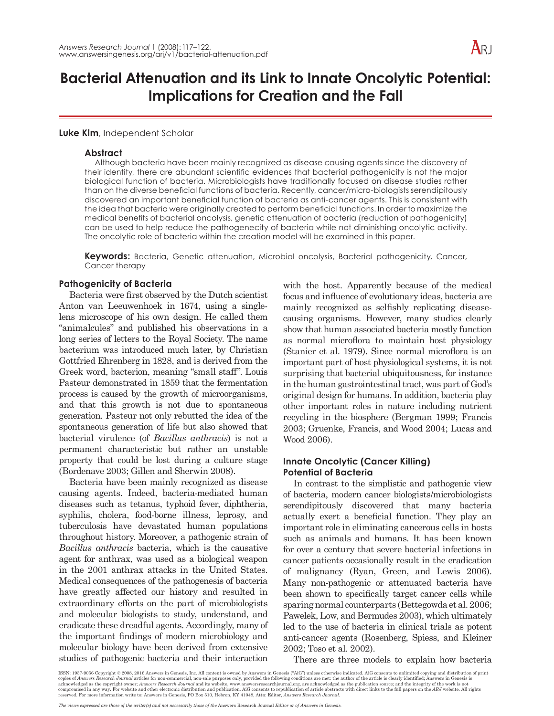# **Bacterial Attenuation and its Link to Innate Oncolytic Potential: Implications for Creation and the Fall**

## **Luke Kim**, Independent Scholar

## **Abstract**

Although bacteria have been mainly recognized as disease causing agents since the discovery of their identity, there are abundant scientific evidences that bacterial pathogenicity is not the major biological function of bacteria. Microbiologists have traditionally focused on disease studies rather than on the diverse beneficial functions of bacteria. Recently, cancer/micro-biologists serendipitously discovered an important beneficial function of bacteria as anti-cancer agents. This is consistent with the idea that bacteria were originally created to perform beneficial functions. In order to maximize the medical benefits of bacterial oncolysis, genetic attenuation of bacteria (reduction of pathogenicity) can be used to help reduce the pathogenecity of bacteria while not diminishing oncolytic activity. The oncolytic role of bacteria within the creation model will be examined in this paper.

**Keywords:** Bacteria, Genetic attenuation, Microbial oncolysis, Bacterial pathogenicity, Cancer, Cancer therapy

## **Pathogenicity of Bacteria**

Bacteria were first observed by the Dutch scientist Anton van Leeuwenhoek in 1674, using a singlelens microscope of his own design. He called them "animalcules" and published his observations in a long series of letters to the Royal Society. The name bacterium was introduced much later, by Christian Gottfried Ehrenberg in 1828, and is derived from the Greek word, bacterion, meaning "small staff". Louis Pasteur demonstrated in 1859 that the fermentation process is caused by the growth of microorganisms, and that this growth is not due to spontaneous generation. Pasteur not only rebutted the idea of the spontaneous generation of life but also showed that bacterial virulence (of *Bacillus anthracis*) is not a permanent characteristic but rather an unstable property that could be lost during a culture stage (Bordenave 2003; Gillen and Sherwin 2008).

Bacteria have been mainly recognized as disease causing agents. Indeed, bacteria-mediated human diseases such as tetanus, typhoid fever, diphtheria, syphilis, cholera, food-borne illness, leprosy, and tuberculosis have devastated human populations throughout history. Moreover, a pathogenic strain of *Bacillus anthracis* bacteria, which is the causative agent for anthrax, was used as a biological weapon in the 2001 anthrax attacks in the United States. Medical consequences of the pathogenesis of bacteria have greatly affected our history and resulted in extraordinary efforts on the part of microbiologists and molecular biologists to study, understand, and eradicate these dreadful agents. Accordingly, many of the important findings of modern microbiology and molecular biology have been derived from extensive studies of pathogenic bacteria and their interaction with the host. Apparently because of the medical focus and influence of evolutionary ideas, bacteria are mainly recognized as selfishly replicating diseasecausing organisms. However, many studies clearly show that human associated bacteria mostly function as normal microflora to maintain host physiology (Stanier et al. 1979). Since normal microflora is an important part of host physiological systems, it is not surprising that bacterial ubiquitousness, for instance in the human gastrointestinal tract, was part of God's original design for humans. In addition, bacteria play other important roles in nature including nutrient recycling in the biosphere (Bergman 1999; Francis 2003; Gruenke, Francis, and Wood 2004; Lucas and Wood 2006).

# **Innate Oncolytic (Cancer Killing) Potential of Bacteria**

In contrast to the simplistic and pathogenic view of bacteria, modern cancer biologists/microbiologists serendipitously discovered that many bacteria actually exert a beneficial function. They play an important role in eliminating cancerous cells in hosts such as animals and humans. It has been known for over a century that severe bacterial infections in cancer patients occasionally result in the eradication of malignancy (Ryan, Green, and Lewis 2006). Many non-pathogenic or attenuated bacteria have been shown to specifically target cancer cells while sparing normal counterparts (Bettegowda et al. 2006; Pawelek, Low, and Bermudes 2003), which ultimately led to the use of bacteria in clinical trials as potent anti-cancer agents (Rosenberg, Spiess, and Kleiner 2002; Toso et al. 2002).

There are three models to explain how bacteria

ISSN: 1937-9056 Copyright © 2008, 2016 Answers in Genesis, Inc. All content is owned by Answers in Genesis ("AiG") unless otherwise indicated. AiG consents to unlimited copying and distribution of print copies of *Ansuers Research Journal* articles for non-commercial, non-sale purposes only, provided the following conditions are met: the author of the article is clearly identified; Answers in Genesis is caknowledged as th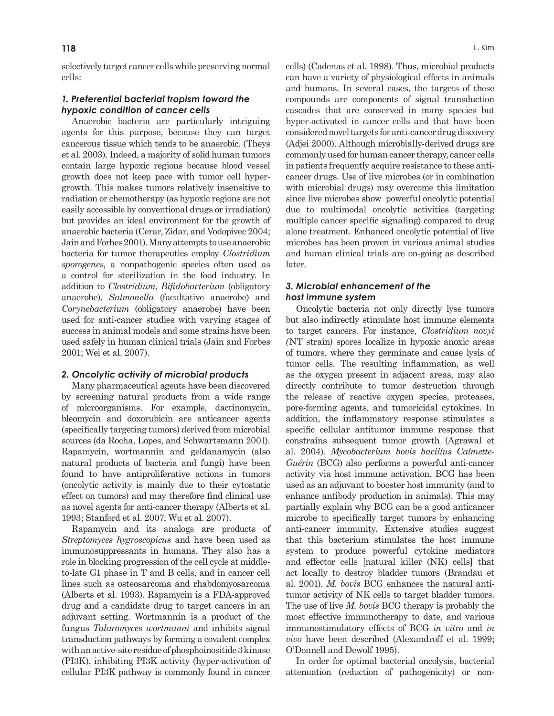selectively target cancer cells while preserving normal cells:

# *1. Preferential bacterial tropism toward the hypoxic condition of cancer cells*

Anaerobic bacteria are particularly intriguing agents for this purpose, because they can target cancerous tissue which tends to be anaerobic. (Theys et al. 2003). Indeed, a majority of solid human tumors contain large hypoxic regions because blood vessel growth does not keep pace with tumor cell hypergrowth. This makes tumors relatively insensitive to radiation or chemotherapy (as hypoxic regions are not easily accessible by conventional drugs or irradiation) but provides an ideal environment for the growth of anaerobic bacteria (Cerar, Zidar, and Vodopivec 2004; Jain and Forbes 2001). Many attempts to use anaerobic bacteria for tumor therapeutics employ *Clostridium sporogenes*, a nonpathogenic species often used as a control for sterilization in the food industry. In addition to *Clostridium*, *Bifidobacterium* (obligatory anaerobe), *Salmonella* (facultative anaerobe) and *Corynebacterium* (obligatory anaerobe) have been used for anti-cancer studies with varying stages of success in animal models and some strains have been used safely in human clinical trials (Jain and Forbes 2001; Wei et al. 2007).

#### *2. Oncolytic activity of microbial products*

Many pharmaceutical agents have been discovered by screening natural products from a wide range of microorganisms. For example, dactinomycin, bleomycin and doxorubicin are anticancer agents (specifically targeting tumors) derived from microbial sources (da Rocha, Lopes, and Schwartsmann 2001). Rapamycin, wortmannin and geldanamycin (also natural products of bacteria and fungi) have been found to have antiproliferative actions in tumors (oncolytic activity is mainly due to their cytostatic effect on tumors) and may therefore find clinical use as novel agents for anti-cancer therapy (Alberts et al. 1993; Stanford et al. 2007; Wu et al. 2007).

Rapamycin and its analogs are products of *Streptomyces hygroscopicus* and have been used as immunosuppressants in humans. They also has a role in blocking progression of the cell cycle at middleto-late G1 phase in T and B cells, and in cancer cell lines such as osteosarcoma and rhabdomyosarcoma (Alberts et al. 1993). Rapamycin is a FDA-approved drug and a candidate drug to target cancers in an adjuvant setting. Wortmannin is a product of the fungus *Talaromyces wortmanni* and inhibits signal transduction pathways by forming a covalent complex with an active-site residue of phosphoinositide 3 kinase (PI3K), inhibiting PI3K activity (hyper-activation of cellular PI3K pathway is commonly found in cancer

cells) (Cadenas et al. 1998). Thus, microbial products can have a variety of physiological effects in animals and humans. In several cases, the targets of these compounds are components of signal transduction cascades that are conserved in many species but hyper-activated in cancer cells and that have been considered novel targets for anti-cancer drug discovery (Adjei 2000). Although microbially-derived drugs are commonly used for human cancer therapy, cancer cells in patients frequently acquire resistance to these anticancer drugs. Use of live microbes (or in combination with microbial drugs) may overcome this limitation since live microbes show powerful oncolytic potential due to multimodal oncolytic activities (targeting multiple cancer specific signaling) compared to drug alone treatment. Enhanced oncolytic potential of live microbes has been proven in various animal studies and human clinical trials are on-going as described later.

## *3. Microbial enhancement of the host immune system*

Oncolytic bacteria not only directly lyse tumors but also indirectly stimulate host immune elements to target cancers. For instance, *Clostridium novyi (*NT strain) spores localize in hypoxic anoxic areas of tumors, where they germinate and cause lysis of tumor cells. The resulting inflammation, as well as the oxygen present in adjacent areas, may also directly contribute to tumor destruction through the release of reactive oxygen species, proteases, pore-forming agents, and tumoricidal cytokines. In addition, the inflammatory response stimulates a specific cellular antitumor immune response that constrains subsequent tumor growth (Agrawal et al*.* 2004). *Mycobacterium bovis bacillus Calmette-Guérin* (BCG) also performs a powerful anti-cancer activity via host immune activation. BCG has been used as an adjuvant to booster host immunity (and to enhance antibody production in animals). This may partially explain why BCG can be a good anticancer microbe to specifically target tumors by enhancing anti-cancer immunity. Extensive studies suggest that this bacterium stimulates the host immune system to produce powerful cytokine mediators and effector cells [natural killer (NK) cells] that act locally to destroy bladder tumors (Brandau et al. 2001). *M. bovis* BCG enhances the natural antitumor activity of NK cells to target bladder tumors. The use of live *M. bovis* BCG therapy is probably the most effective immunotherapy to date, and various immunostimulatory effects of BCG *in vitro* and *in vivo* have been described (Alexandroff et al. 1999; O'Donnell and Dewolf 1995).

In order for optimal bacterial oncolysis, bacterial attenuation (reduction of pathogenicity) or non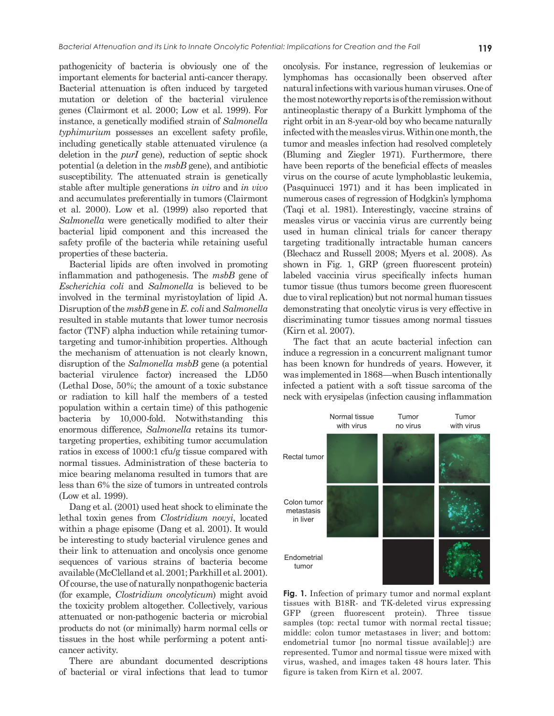pathogenicity of bacteria is obviously one of the important elements for bacterial anti-cancer therapy. Bacterial attenuation is often induced by targeted mutation or deletion of the bacterial virulence genes (Clairmont et al. 2000; Low et al. 1999). For instance, a genetically modified strain of *Salmonella typhimurium* possesses an excellent safety profile, including genetically stable attenuated virulence (a deletion in the *purI* gene), reduction of septic shock potential (a deletion in the *msbB* gene), and antibiotic susceptibility. The attenuated strain is genetically stable after multiple generations *in vitro* and *in vivo*

and accumulates preferentially in tumors (Clairmont et al. 2000). Low et al. (1999) also reported that *Salmonella* were genetically modified to alter their bacterial lipid component and this increased the safety profile of the bacteria while retaining useful properties of these bacteria.

Bacterial lipids are often involved in promoting inflammation and pathogenesis. The *msbB* gene of *Escherichia coli* and *Salmonella* is believed to be involved in the terminal myristoylation of lipid A. Disruption of the *msbB* gene in *E. coli* and *Salmonella* resulted in stable mutants that lower tumor necrosis factor (TNF) alpha induction while retaining tumortargeting and tumor-inhibition properties. Although the mechanism of attenuation is not clearly known, disruption of the *Salmonella msbB* gene (a potential bacterial virulence factor) increased the LD50 (Lethal Dose, 50%; the amount of a toxic substance or radiation to kill half the members of a tested population within a certain time) of this pathogenic bacteria by 10,000-fold. Notwithstanding this enormous difference, *Salmonella* retains its tumortargeting properties, exhibiting tumor accumulation ratios in excess of 1000:1 cfu/g tissue compared with normal tissues. Administration of these bacteria to mice bearing melanoma resulted in tumors that are less than 6% the size of tumors in untreated controls (Low et al. 1999).

Dang et al. (2001) used heat shock to eliminate the lethal toxin genes from *Clostridium novyi*, located within a phage episome (Dang et al. 2001). It would be interesting to study bacterial virulence genes and their link to attenuation and oncolysis once genome sequences of various strains of bacteria become available (McClelland et al. 2001; Parkhill et al. 2001). Of course, the use of naturally nonpathogenic bacteria (for example, *Clostridium oncolyticum*) might avoid the toxicity problem altogether. Collectively, various attenuated or non-pathogenic bacteria or microbial products do not (or minimally) harm normal cells or tissues in the host while performing a potent anticancer activity.

There are abundant documented descriptions of bacterial or viral infections that lead to tumor oncolysis. For instance, regression of leukemias or lymphomas has occasionally been observed after natural infections with various human viruses. One of the most noteworthy reports is of the remissionwithout antineoplastic therapy of a Burkitt lymphoma of the right orbit in an 8-year-old boy who became naturally infectedwith the measles virus. Within one month, the tumor and measles infection had resolved completely (Bluming and Ziegler 1971). Furthermore, there have been reports of the beneficial effects of measles virus on the course of acute lymphoblastic leukemia, (Pasquinucci 1971) and it has been implicated in numerous cases of regression of Hodgkin's lymphoma (Taqi et al. 1981). Interestingly, vaccine strains of measles virus or vaccinia virus are currently being used in human clinical trials for cancer therapy targeting traditionally intractable human cancers (Blechacz and Russell 2008; Myers et al. 2008). As shown in Fig. 1, GRP (green fluorescent protein) labeled vaccinia virus specifically infects human tumor tissue (thus tumors become green fluorescent due to viral replication) but not normal human tissues demonstrating that oncolytic virus is very effective in discriminating tumor tissues among normal tissues (Kirn et al. 2007).

The fact that an acute bacterial infection can induce a regression in a concurrent malignant tumor has been known for hundreds of years. However, it was implemented in 1868—when Busch intentionally infected a patient with a soft tissue sarcoma of the neck with erysipelas (infection causing inflammation



**Fig. 1.** Infection of primary tumor and normal explant tissues with B18R- and TK-deleted virus expressing GFP (green fluorescent protein). Three tissue samples (top: rectal tumor with normal rectal tissue; middle: colon tumor metastases in liver; and bottom: endometrial tumor [no normal tissue available]:) are represented. Tumor and normal tissue were mixed with virus, washed, and images taken 48 hours later. This figure is taken from Kirn et al. 2007.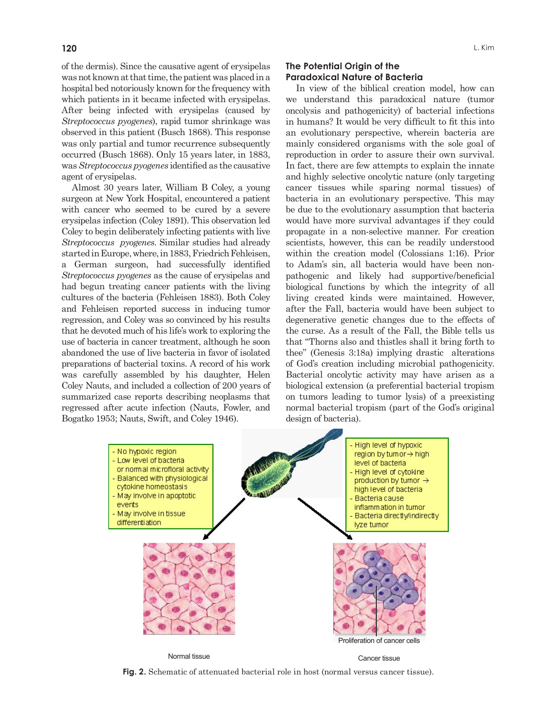of the dermis). Since the causative agent of erysipelas was not known at that time, the patient was placed in a hospital bed notoriously known for the frequency with which patients in it became infected with erysipelas. After being infected with erysipelas (caused by *Streptococcus pyogenes*), rapid tumor shrinkage was observed in this patient (Busch 1868). This response was only partial and tumor recurrence subsequently occurred (Busch 1868). Only 15 years later, in 1883, was*Streptococcus pyogenes* identified as the causative agent of erysipelas.

Almost 30 years later, William B Coley, a young surgeon at New York Hospital, encountered a patient with cancer who seemed to be cured by a severe erysipelas infection (Coley 1891). This observation led Coley to begin deliberately infecting patients with live *Streptococcus pyogenes*. Similar studies had already started in Europe, where, in 1883, Friedrich Fehleisen, a German surgeon, had successfully identified *Streptococcus pyogenes* as the cause of erysipelas and had begun treating cancer patients with the living cultures of the bacteria (Fehleisen 1883). Both Coley and Fehleisen reported success in inducing tumor regression, and Coley was so convinced by his results that he devoted much of his life's work to exploring the use of bacteria in cancer treatment, although he soon abandoned the use of live bacteria in favor of isolated preparations of bacterial toxins. A record of his work was carefully assembled by his daughter, Helen Coley Nauts, and included a collection of 200 years of summarized case reports describing neoplasms that regressed after acute infection (Nauts, Fowler, and Bogatko 1953; Nauts, Swift, and Coley 1946).

# **The Potential Origin of the Paradoxical Nature of Bacteria**

In view of the biblical creation model, how can we understand this paradoxical nature (tumor oncolysis and pathogenicity) of bacterial infections in humans? It would be very difficult to fit this into an evolutionary perspective, wherein bacteria are mainly considered organisms with the sole goal of reproduction in order to assure their own survival. In fact, there are few attempts to explain the innate and highly selective oncolytic nature (only targeting cancer tissues while sparing normal tissues) of bacteria in an evolutionary perspective. This may be due to the evolutionary assumption that bacteria would have more survival advantages if they could propagate in a non-selective manner. For creation scientists, however, this can be readily understood within the creation model (Colossians 1:16). Prior to Adam's sin, all bacteria would have been nonpathogenic and likely had supportive/beneficial biological functions by which the integrity of all living created kinds were maintained. However, after the Fall, bacteria would have been subject to degenerative genetic changes due to the effects of the curse. As a result of the Fall, the Bible tells us that "Thorns also and thistles shall it bring forth to thee" (Genesis 3:18a) implying drastic alterations of God's creation including microbial pathogenicity. Bacterial oncolytic activity may have arisen as a biological extension (a preferential bacterial tropism on tumors leading to tumor lysis) of a preexisting normal bacterial tropism (part of the God's original design of bacteria).



**Fig. 2.** Schematic of attenuated bacterial role in host (normal versus cancer tissue).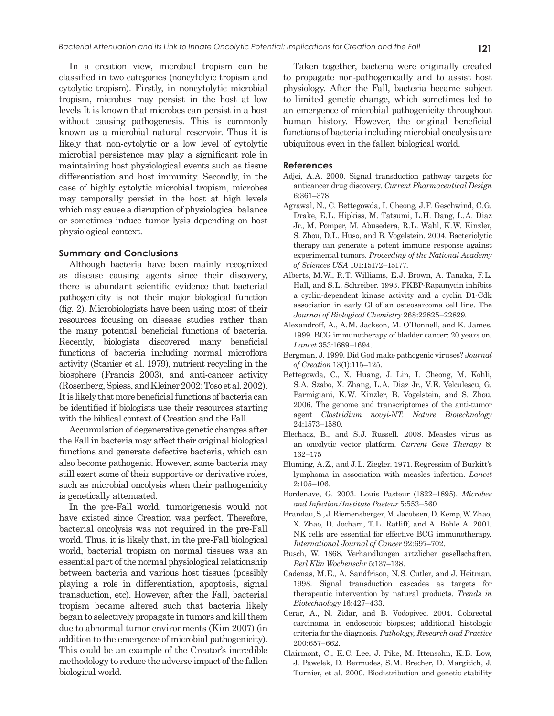In a creation view, microbial tropism can be classified in two categories (noncytolyic tropism and cytolytic tropism). Firstly, in noncytolytic microbial tropism, microbes may persist in the host at low levels It is known that microbes can persist in a host without causing pathogenesis. This is commonly known as a microbial natural reservoir. Thus it is likely that non-cytolytic or a low level of cytolytic microbial persistence may play a significant role in maintaining host physiological events such as tissue differentiation and host immunity. Secondly, in the case of highly cytolytic microbial tropism, microbes may temporally persist in the host at high levels which may cause a disruption of physiological balance or sometimes induce tumor lysis depending on host physiological context.

## **Summary and Conclusions**

Although bacteria have been mainly recognized as disease causing agents since their discovery, there is abundant scientific evidence that bacterial pathogenicity is not their major biological function (fig. 2). Microbiologists have been using most of their resources focusing on disease studies rather than the many potential beneficial functions of bacteria. Recently, biologists discovered many beneficial functions of bacteria including normal microflora activity (Stanier et al. 1979), nutrient recycling in the biosphere (Francis 2003), and anti-cancer activity (Rosenberg, Spiess, and Kleiner 2002; Toso et al. 2002). It is likely that more beneficial functions of bacteria can be identified if biologists use their resources starting with the biblical context of Creation and the Fall.

Accumulation of degenerative genetic changes after the Fall in bacteria may affect their original biological functions and generate defective bacteria, which can also become pathogenic. However, some bacteria may still exert some of their supportive or derivative roles, such as microbial oncolysis when their pathogenicity is genetically attenuated.

In the pre-Fall world, tumorigenesis would not have existed since Creation was perfect. Therefore, bacterial oncolysis was not required in the pre-Fall world. Thus, it is likely that, in the pre-Fall biological world, bacterial tropism on normal tissues was an essential part of the normal physiological relationship between bacteria and various host tissues (possibly playing a role in differentiation, apoptosis, signal transduction, etc). However, after the Fall, bacterial tropism became altered such that bacteria likely began to selectively propagate in tumors and kill them due to abnormal tumor environments (Kim 2007) (in addition to the emergence of microbial pathogenicity). This could be an example of the Creator's incredible methodology to reduce the adverse impact of the fallen biological world.

Taken together, bacteria were originally created to propagate non-pathogenically and to assist host physiology. After the Fall, bacteria became subject to limited genetic change, which sometimes led to an emergence of microbial pathogenicity throughout human history. However, the original beneficial functions of bacteria including microbial oncolysis are ubiquitous even in the fallen biological world.

#### **References**

- Adjei, A.A. 2000. Signal transduction pathway targets for anticancer drug discovery. *Current Pharmaceutical Design* 6:361–378.
- Agrawal, N., C. Bettegowda, I. Cheong, J. F. Geschwind, C. G. Drake, E. L. Hipkiss, M. Tatsumi, L. H. Dang, L. A. Diaz Jr., M. Pomper, M. Abusedera, R. L. Wahl, K. W. Kinzler, S. Zhou, D.L. Huso, and B. Vogelstein. 2004. Bacteriolytic therapy can generate a potent immune response against experimental tumors. *Proceeding of the National Academy of Sciences USA* 101:15172–15177.
- Alberts, M.W., R.T. Williams, E.J. Brown, A. Tanaka, F.L. Hall, and S. L. Schreiber. 1993. FKBP-Rapamycin inhibits a cyclin-dependent kinase activity and a cyclin D1-Cdk association in early Gl of an osteosarcoma cell line. The *Journal of Biological Chemistry* 268:22825–22829.
- Alexandroff, A., A. M. Jackson, M. O'Donnell, and K. James. 1999. BCG immunotherapy of bladder cancer: 20 years on. *Lancet* 353:1689–1694.
- Bergman, J. 1999. Did God make pathogenic viruses? *Journal of Creation* 13(1):115–125.
- Bettegowda, C., X. Huang, J. Lin, I. Cheong, M. Kohli, S. A. Szabo, X. Zhang, L. A. Diaz Jr., V. E. Velculescu, G. Parmigiani, K. W. Kinzler, B. Vogelstein, and S. Zhou. 2006. The genome and transcriptomes of the anti-tumor agent *Clostridium novyi-NT*. *Nature Biotechnology* 24:1573–1580.
- Blechacz, B., and S.J. Russell. 2008. Measles virus as an oncolytic vector platform. *Current Gene Therapy* 8: 162–175
- Bluming, A. Z., and J. L. Ziegler. 1971. Regression of Burkitt's lymphoma in association with measles infection. *Lancet* 2:105–106.
- Bordenave, G. 2003. Louis Pasteur (1822–1895). *Microbes and Infection/Institute Pasteur* 5:553–560
- Brandau, S., J. Riemensberger, M. Jacobsen, D. Kemp, W. Zhao, X. Zhao, D. Jocham, T. L. Ratliff, and A. Bohle A. 2001. NK cells are essential for effective BCG immunotherapy. *International Journal of Cancer* 92:697–702.
- Busch, W. 1868. Verhandlungen artzlicher gesellschaften*. Berl Klin Wochenschr* 5:137–138.
- Cadenas, M. E., A. Sandfrison, N. S. Cutler, and J. Heitman. 1998. Signal transduction cascades as targets for therapeutic intervention by natural products. *Trends in Biotechnology* 16:427–433.
- Cerar, A., N. Zidar, and B. Vodopivec. 2004. Colorectal carcinoma in endoscopic biopsies; additional histologic criteria for the diagnosis. *Pathology, Research and Practice* 200:657–662.
- Clairmont, C., K. C. Lee, J. Pike, M. Ittensohn, K. B. Low, J. Pawelek, D. Bermudes, S. M. Brecher, D. Margitich, J. Turnier, et al. 2000. Biodistribution and genetic stability